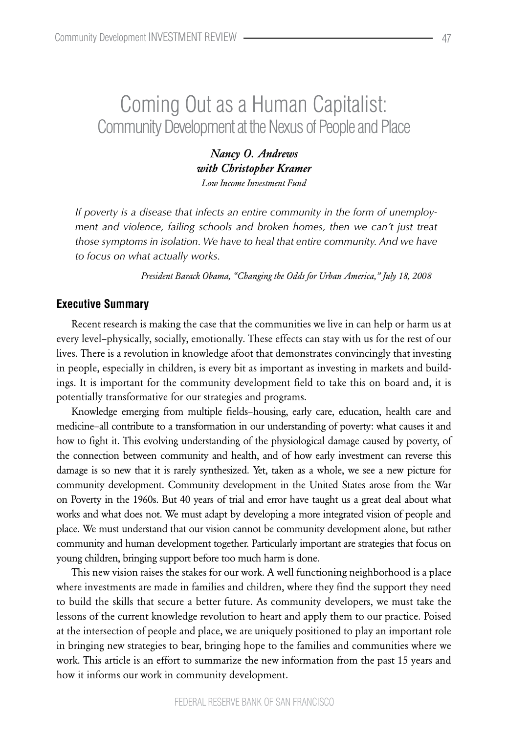# Coming Out as a Human Capitalist: Community Development at the Nexus of People and Place

*Nancy O. Andrews with Christopher Kramer Low Income Investment Fund*

*If poverty is a disease that infects an entire community in the form of unemployment and violence, failing schools and broken homes, then we can't just treat those symptoms in isolation. We have to heal that entire community. And we have to focus on what actually works.*

*President Barack Obama, "Changing the Odds for Urban America," July 18, 2008*

### **Executive Summary**

Recent research is making the case that the communities we live in can help or harm us at every level–physically, socially, emotionally. These effects can stay with us for the rest of our lives. There is a revolution in knowledge afoot that demonstrates convincingly that investing in people, especially in children, is every bit as important as investing in markets and buildings. It is important for the community development field to take this on board and, it is potentially transformative for our strategies and programs.

Knowledge emerging from multiple fields–housing, early care, education, health care and medicine–all contribute to a transformation in our understanding of poverty: what causes it and how to fight it. This evolving understanding of the physiological damage caused by poverty, of the connection between community and health, and of how early investment can reverse this damage is so new that it is rarely synthesized. Yet, taken as a whole, we see a new picture for community development. Community development in the United States arose from the War on Poverty in the 1960s. But 40 years of trial and error have taught us a great deal about what works and what does not. We must adapt by developing a more integrated vision of people and place. We must understand that our vision cannot be community development alone, but rather community and human development together. Particularly important are strategies that focus on young children, bringing support before too much harm is done.

This new vision raises the stakes for our work. A well functioning neighborhood is a place where investments are made in families and children, where they find the support they need to build the skills that secure a better future. As community developers, we must take the lessons of the current knowledge revolution to heart and apply them to our practice. Poised at the intersection of people and place, we are uniquely positioned to play an important role in bringing new strategies to bear, bringing hope to the families and communities where we work. This article is an effort to summarize the new information from the past 15 years and how it informs our work in community development.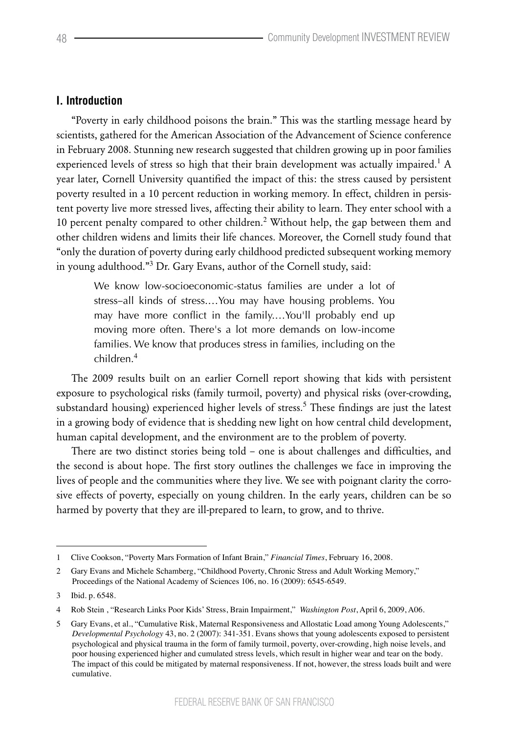## **I. Introduction**

"Poverty in early childhood poisons the brain." This was the startling message heard by scientists, gathered for the American Association of the Advancement of Science conference in February 2008. Stunning new research suggested that children growing up in poor families experienced levels of stress so high that their brain development was actually impaired.<sup>1</sup> A year later, Cornell University quantified the impact of this: the stress caused by persistent poverty resulted in a 10 percent reduction in working memory. In effect, children in persistent poverty live more stressed lives, affecting their ability to learn. They enter school with a 10 percent penalty compared to other children.<sup>2</sup> Without help, the gap between them and other children widens and limits their life chances. Moreover, the Cornell study found that "only the duration of poverty during early childhood predicted subsequent working memory in young adulthood."<sup>3</sup> Dr. Gary Evans, author of the Cornell study, said:

We know low-socioeconomic-status families are under a lot of stress–all kinds of stress.…You may have housing problems. You may have more conflict in the family.…You'll probably end up moving more often. There's a lot more demands on low-income families. We know that produces stress in families, including on the children.<sup>4</sup>

The 2009 results built on an earlier Cornell report showing that kids with persistent exposure to psychological risks (family turmoil, poverty) and physical risks (over-crowding, substandard housing) experienced higher levels of stress.<sup>5</sup> These findings are just the latest in a growing body of evidence that is shedding new light on how central child development, human capital development, and the environment are to the problem of poverty.

There are two distinct stories being told – one is about challenges and difficulties, and the second is about hope. The first story outlines the challenges we face in improving the lives of people and the communities where they live. We see with poignant clarity the corrosive effects of poverty, especially on young children. In the early years, children can be so harmed by poverty that they are ill-prepared to learn, to grow, and to thrive.

<sup>1</sup> Clive Cookson, "Poverty Mars Formation of Infant Brain," *Financial Times*, February 16, 2008.

<sup>2</sup> Gary Evans and Michele Schamberg, "Childhood Poverty, Chronic Stress and Adult Working Memory," Proceedings of the National Academy of Sciences 106, no. 16 (2009): 6545-6549.

<sup>3</sup> Ibid. p. 6548.

<sup>4</sup> Rob Stein , "Research Links Poor Kids' Stress, Brain Impairment," *Washington Post*, April 6, 2009, A06.

<sup>5</sup> Gary Evans, et al., "Cumulative Risk, Maternal Responsiveness and Allostatic Load among Young Adolescents," *Developmental Psychology* 43, no. 2 (2007): 341-351. Evans shows that young adolescents exposed to persistent psychological and physical trauma in the form of family turmoil, poverty, over-crowding, high noise levels, and poor housing experienced higher and cumulated stress levels, which result in higher wear and tear on the body. The impact of this could be mitigated by maternal responsiveness. If not, however, the stress loads built and were cumulative.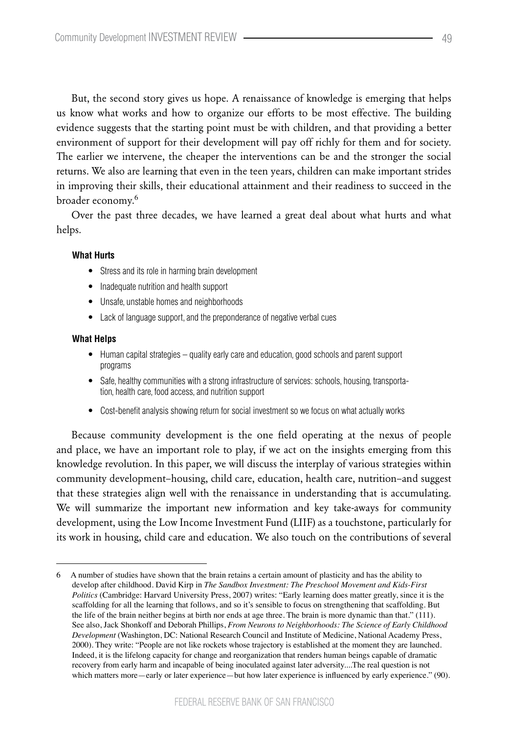But, the second story gives us hope. A renaissance of knowledge is emerging that helps us know what works and how to organize our efforts to be most effective. The building evidence suggests that the starting point must be with children, and that providing a better environment of support for their development will pay off richly for them and for society. The earlier we intervene, the cheaper the interventions can be and the stronger the social returns. We also are learning that even in the teen years, children can make important strides in improving their skills, their educational attainment and their readiness to succeed in the broader economy.<sup>6</sup>

Over the past three decades, we have learned a great deal about what hurts and what helps.

### **What Hurts**

- Stress and its role in harming brain development
- Inadequate nutrition and health support
- • Unsafe, unstable homes and neighborhoods
- Lack of language support, and the preponderance of negative verbal cues

#### **What Helps**

- Human capital strategies quality early care and education, good schools and parent support programs
- Safe, healthy communities with a strong infrastructure of services: schools, housing, transportation, health care, food access, and nutrition support
- Cost-benefit analysis showing return for social investment so we focus on what actually works

Because community development is the one field operating at the nexus of people and place, we have an important role to play, if we act on the insights emerging from this knowledge revolution. In this paper, we will discuss the interplay of various strategies within community development–housing, child care, education, health care, nutrition–and suggest that these strategies align well with the renaissance in understanding that is accumulating. We will summarize the important new information and key take-aways for community development, using the Low Income Investment Fund (LIIF) as a touchstone, particularly for its work in housing, child care and education. We also touch on the contributions of several

<sup>6</sup> A number of studies have shown that the brain retains a certain amount of plasticity and has the ability to develop after childhood. David Kirp in *The Sandbox Investment: The Preschool Movement and Kids-First Politics* (Cambridge: Harvard University Press, 2007) writes: "Early learning does matter greatly, since it is the scaffolding for all the learning that follows, and so it's sensible to focus on strengthening that scaffolding. But the life of the brain neither begins at birth nor ends at age three. The brain is more dynamic than that." (111). See also, Jack Shonkoff and Deborah Phillips, *From Neurons to Neighborhoods: The Science of Early Childhood Development* (Washington, DC: National Research Council and Institute of Medicine, National Academy Press, 2000). They write: "People are not like rockets whose trajectory is established at the moment they are launched. Indeed, it is the lifelong capacity for change and reorganization that renders human beings capable of dramatic recovery from early harm and incapable of being inoculated against later adversity....The real question is not which matters more—early or later experience—but how later experience is influenced by early experience." (90).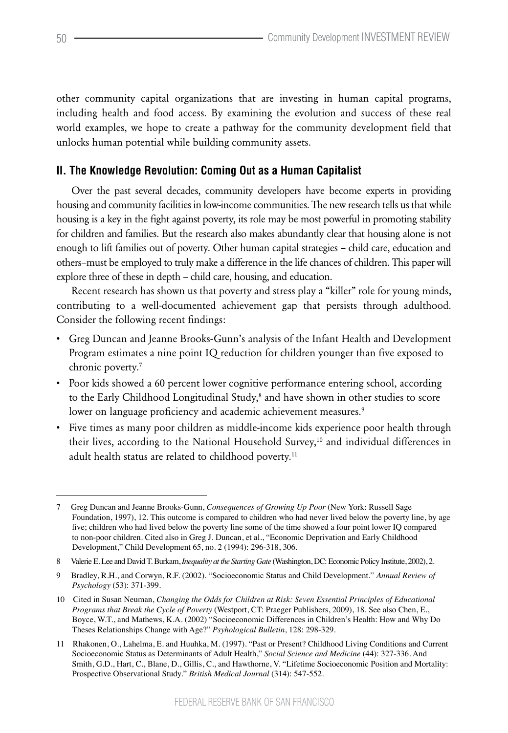other community capital organizations that are investing in human capital programs, including health and food access. By examining the evolution and success of these real world examples, we hope to create a pathway for the community development field that unlocks human potential while building community assets.

# **II. The Knowledge Revolution: Coming Out as a Human Capitalist**

Over the past several decades, community developers have become experts in providing housing and community facilities in low-income communities. The new research tells us that while housing is a key in the fight against poverty, its role may be most powerful in promoting stability for children and families. But the research also makes abundantly clear that housing alone is not enough to lift families out of poverty. Other human capital strategies – child care, education and others–must be employed to truly make a difference in the life chances of children. This paper will explore three of these in depth – child care, housing, and education.

Recent research has shown us that poverty and stress play a "killer" role for young minds, contributing to a well-documented achievement gap that persists through adulthood. Consider the following recent findings:

- • Greg Duncan and Jeanne Brooks-Gunn's analysis of the Infant Health and Development Program estimates a nine point IQ reduction for children younger than five exposed to chronic poverty.7
- Poor kids showed a 60 percent lower cognitive performance entering school, according to the Early Childhood Longitudinal Study,<sup>8</sup> and have shown in other studies to score lower on language proficiency and academic achievement measures.<sup>9</sup>
- • Five times as many poor children as middle-income kids experience poor health through their lives, according to the National Household Survey,<sup>10</sup> and individual differences in adult health status are related to childhood poverty.<sup>11</sup>

<sup>7</sup> Greg Duncan and Jeanne Brooks-Gunn, *Consequences of Growing Up Poor* (New York: Russell Sage Foundation, 1997), 12. This outcome is compared to children who had never lived below the poverty line, by age five; children who had lived below the poverty line some of the time showed a four point lower IQ compared to non-poor children. Cited also in Greg J. Duncan, et al., "Economic Deprivation and Early Childhood Development," Child Development 65, no. 2 (1994): 296-318, 306.

<sup>8</sup> Valerie E. Lee and David T. Burkam, *Inequality at the Starting Gate* (Washington, DC: Economic Policy Institute, 2002), 2.

<sup>9</sup> Bradley, R.H., and Corwyn, R.F. (2002). "Socioeconomic Status and Child Development." *Annual Review of Psychology* (53): 371-399.

<sup>10</sup> Cited in Susan Neuman, *Changing the Odds for Children at Risk: Seven Essential Principles of Educational Programs that Break the Cycle of Poverty* (Westport, CT: Praeger Publishers, 2009), 18. See also Chen, E., Boyce, W.T., and Mathews, K.A. (2002) "Socioeconomic Differences in Children's Health: How and Why Do Theses Relationships Change with Age?" *Psyhological Bulletin*, 128: 298-329.

<sup>11</sup> Rhakonen, O., Lahelma, E. and Huuhka, M. (1997). "Past or Present? Childhood Living Conditions and Current Socioeconomic Status as Determinants of Adult Health," *Social Science and Medicine* (44): 327-336. And Smith, G.D., Hart, C., Blane, D., Gillis, C., and Hawthorne, V. "Lifetime Socioeconomic Position and Mortality: Prospective Observational Study." *British Medical Journal* (314): 547-552.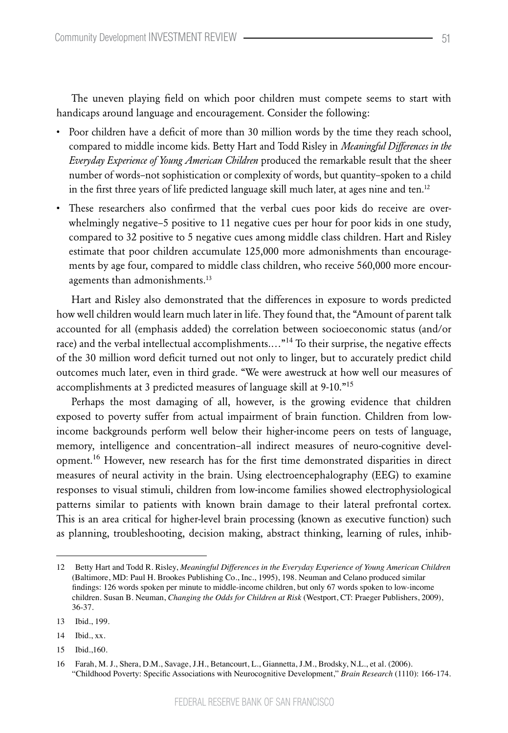The uneven playing field on which poor children must compete seems to start with handicaps around language and encouragement. Consider the following:

- • Poor children have a deficit of more than 30 million words by the time they reach school, compared to middle income kids. Betty Hart and Todd Risley in *Meaningful Differences in the Everyday Experience of Young American Children* produced the remarkable result that the sheer number of words–not sophistication or complexity of words, but quantity–spoken to a child in the first three years of life predicted language skill much later, at ages nine and ten.<sup>12</sup>
- • These researchers also confirmed that the verbal cues poor kids do receive are overwhelmingly negative–5 positive to 11 negative cues per hour for poor kids in one study, compared to 32 positive to 5 negative cues among middle class children. Hart and Risley estimate that poor children accumulate 125,000 more admonishments than encouragements by age four, compared to middle class children, who receive 560,000 more encouragements than admonishments.<sup>13</sup>

Hart and Risley also demonstrated that the differences in exposure to words predicted how well children would learn much later in life. They found that, the "Amount of parent talk accounted for all (emphasis added) the correlation between socioeconomic status (and/or race) and the verbal intellectual accomplishments.…"<sup>14</sup> To their surprise, the negative effects of the 30 million word deficit turned out not only to linger, but to accurately predict child outcomes much later, even in third grade. "We were awestruck at how well our measures of accomplishments at 3 predicted measures of language skill at 9-10."<sup>15</sup>

Perhaps the most damaging of all, however, is the growing evidence that children exposed to poverty suffer from actual impairment of brain function. Children from lowincome backgrounds perform well below their higher-income peers on tests of language, memory, intelligence and concentration–all indirect measures of neuro-cognitive development.<sup>16</sup> However, new research has for the first time demonstrated disparities in direct measures of neural activity in the brain. Using electroencephalography (EEG) to examine responses to visual stimuli, children from low-income families showed electrophysiological patterns similar to patients with known brain damage to their lateral prefrontal cortex. This is an area critical for higher-level brain processing (known as executive function) such as planning, troubleshooting, decision making, abstract thinking, learning of rules, inhib-

<sup>12</sup> Betty Hart and Todd R. Risley, *Meaningful Differences in the Everyday Experience of Young American Children*  (Baltimore, MD: Paul H. Brookes Publishing Co., Inc., 1995), 198. Neuman and Celano produced similar findings: 126 words spoken per minute to middle-income children, but only 67 words spoken to low-income children. Susan B. Neuman, *Changing the Odds for Children at Risk* (Westport, CT: Praeger Publishers, 2009), 36-37.

<sup>13</sup> Ibid., 199.

<sup>14</sup> Ibid., xx.

<sup>15</sup> Ibid.,160.

<sup>16</sup> Farah, M. J., Shera, D.M., Savage, J.H., Betancourt, L., Giannetta, J.M., Brodsky, N.L., et al. (2006). "Childhood Poverty: Specific Associations with Neurocognitive Development," *Brain Research* (1110): 166-174.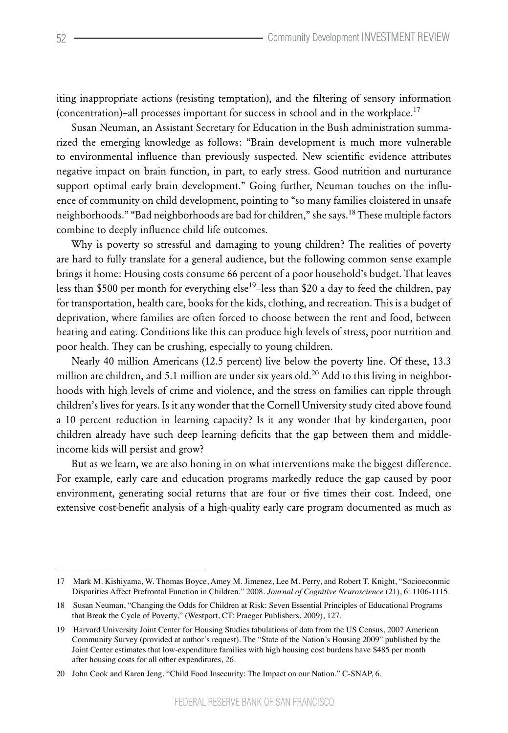iting inappropriate actions (resisting temptation), and the filtering of sensory information (concentration)–all processes important for success in school and in the workplace.<sup>17</sup>

Susan Neuman, an Assistant Secretary for Education in the Bush administration summarized the emerging knowledge as follows: "Brain development is much more vulnerable to environmental influence than previously suspected. New scientific evidence attributes negative impact on brain function, in part, to early stress. Good nutrition and nurturance support optimal early brain development." Going further, Neuman touches on the influence of community on child development, pointing to "so many families cloistered in unsafe neighborhoods." "Bad neighborhoods are bad for children," she says.<sup>18</sup> These multiple factors combine to deeply influence child life outcomes.

Why is poverty so stressful and damaging to young children? The realities of poverty are hard to fully translate for a general audience, but the following common sense example brings it home: Housing costs consume 66 percent of a poor household's budget. That leaves less than \$500 per month for everything else<sup>19</sup>-less than \$20 a day to feed the children, pay for transportation, health care, books for the kids, clothing, and recreation. This is a budget of deprivation, where families are often forced to choose between the rent and food, between heating and eating. Conditions like this can produce high levels of stress, poor nutrition and poor health. They can be crushing, especially to young children.

Nearly 40 million Americans (12.5 percent) live below the poverty line. Of these, 13.3 million are children, and 5.1 million are under six years old.<sup>20</sup> Add to this living in neighborhoods with high levels of crime and violence, and the stress on families can ripple through children's lives for years. Is it any wonder that the Cornell University study cited above found a 10 percent reduction in learning capacity? Is it any wonder that by kindergarten, poor children already have such deep learning deficits that the gap between them and middleincome kids will persist and grow?

But as we learn, we are also honing in on what interventions make the biggest difference. For example, early care and education programs markedly reduce the gap caused by poor environment, generating social returns that are four or five times their cost. Indeed, one extensive cost-benefit analysis of a high-quality early care program documented as much as

<sup>17</sup> Mark M. Kishiyama, W. Thomas Boyce, Amey M. Jimenez, Lee M. Perry, and Robert T. Knight, "Socioeconmic Disparities Affect Prefrontal Function in Children." 2008. *Journal of Cognitive Neuroscience* (21), 6: 1106-1115.

<sup>18</sup> Susan Neuman, "Changing the Odds for Children at Risk: Seven Essential Principles of Educational Programs that Break the Cycle of Poverty," (Westport, CT: Praeger Publishers, 2009), 127.

<sup>19</sup> Harvard University Joint Center for Housing Studies tabulations of data from the US Census, 2007 American Community Survey (provided at author's request). The "State of the Nation's Housing 2009" published by the Joint Center estimates that low-expenditure families with high housing cost burdens have \$485 per month after housing costs for all other expenditures, 26.

<sup>20</sup> John Cook and Karen Jeng, "Child Food Insecurity: The Impact on our Nation." C-SNAP, 6.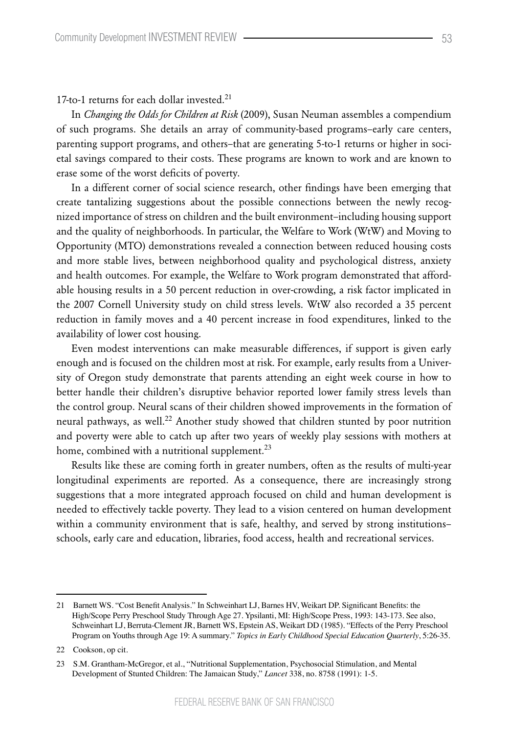17-to-1 returns for each dollar invested.<sup>21</sup>

In *Changing the Odds for Children at Risk* (2009), Susan Neuman assembles a compendium of such programs. She details an array of community-based programs–early care centers, parenting support programs, and others–that are generating 5-to-1 returns or higher in societal savings compared to their costs. These programs are known to work and are known to erase some of the worst deficits of poverty.

In a different corner of social science research, other findings have been emerging that create tantalizing suggestions about the possible connections between the newly recognized importance of stress on children and the built environment–including housing support and the quality of neighborhoods. In particular, the Welfare to Work (WtW) and Moving to Opportunity (MTO) demonstrations revealed a connection between reduced housing costs and more stable lives, between neighborhood quality and psychological distress, anxiety and health outcomes. For example, the Welfare to Work program demonstrated that affordable housing results in a 50 percent reduction in over-crowding, a risk factor implicated in the 2007 Cornell University study on child stress levels. WtW also recorded a 35 percent reduction in family moves and a 40 percent increase in food expenditures, linked to the availability of lower cost housing.

Even modest interventions can make measurable differences, if support is given early enough and is focused on the children most at risk. For example, early results from a University of Oregon study demonstrate that parents attending an eight week course in how to better handle their children's disruptive behavior reported lower family stress levels than the control group. Neural scans of their children showed improvements in the formation of neural pathways, as well.<sup>22</sup> Another study showed that children stunted by poor nutrition and poverty were able to catch up after two years of weekly play sessions with mothers at home, combined with a nutritional supplement.<sup>23</sup>

Results like these are coming forth in greater numbers, often as the results of multi-year longitudinal experiments are reported. As a consequence, there are increasingly strong suggestions that a more integrated approach focused on child and human development is needed to effectively tackle poverty. They lead to a vision centered on human development within a community environment that is safe, healthy, and served by strong institutions– schools, early care and education, libraries, food access, health and recreational services.

<sup>21</sup> Barnett WS. "Cost Benefit Analysis." In Schweinhart LJ, Barnes HV, Weikart DP. Significant Benefits: the High/Scope Perry Preschool Study Through Age 27. Ypsilanti, MI: High/Scope Press, 1993: 143-173. See also, Schweinhart LJ, Berruta-Clement JR, Barnett WS, Epstein AS, Weikart DD (1985). "Effects of the Perry Preschool Program on Youths through Age 19: A summary." *Topics in Early Childhood Special Education Quarterly*, 5:26-35.

<sup>22</sup> Cookson, op cit.

<sup>23</sup> S.M. Grantham-McGregor, et al., "Nutritional Supplementation, Psychosocial Stimulation, and Mental Development of Stunted Children: The Jamaican Study," *Lancet* 338, no. 8758 (1991): 1-5.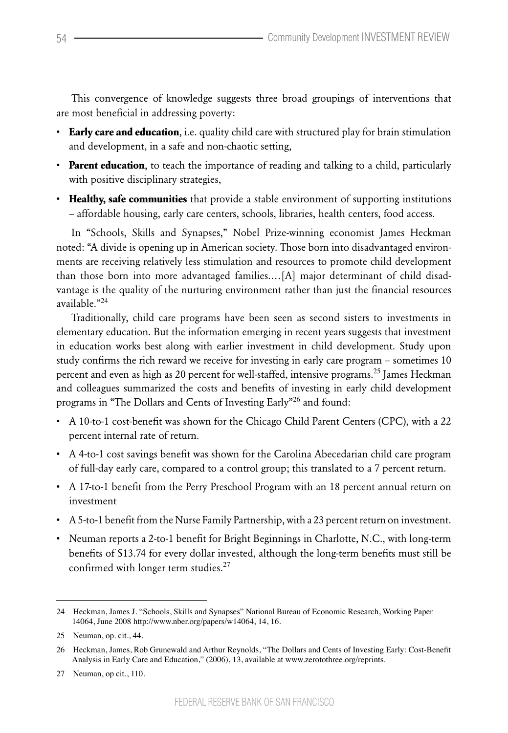This convergence of knowledge suggests three broad groupings of interventions that are most beneficial in addressing poverty:

- • **Early care and education**, i.e. quality child care with structured play for brain stimulation and development, in a safe and non-chaotic setting,
- • **Parent education**, to teach the importance of reading and talking to a child, particularly with positive disciplinary strategies,
- • **Healthy, safe communities** that provide a stable environment of supporting institutions – affordable housing, early care centers, schools, libraries, health centers, food access.

In "Schools, Skills and Synapses," Nobel Prize-winning economist James Heckman noted: "A divide is opening up in American society. Those born into disadvantaged environments are receiving relatively less stimulation and resources to promote child development than those born into more advantaged families.…[A] major determinant of child disadvantage is the quality of the nurturing environment rather than just the financial resources available<sup>"24</sup>

Traditionally, child care programs have been seen as second sisters to investments in elementary education. But the information emerging in recent years suggests that investment in education works best along with earlier investment in child development. Study upon study confirms the rich reward we receive for investing in early care program – sometimes 10 percent and even as high as 20 percent for well-staffed, intensive programs.<sup>25</sup> James Heckman and colleagues summarized the costs and benefits of investing in early child development programs in "The Dollars and Cents of Investing Early"<sup>26</sup> and found:

- • A 10-to-1 cost-benefit was shown for the Chicago Child Parent Centers (CPC), with a 22 percent internal rate of return.
- • A 4-to-1 cost savings benefit was shown for the Carolina Abecedarian child care program of full-day early care, compared to a control group; this translated to a 7 percent return.
- • A 17-to-1 benefit from the Perry Preschool Program with an 18 percent annual return on investment
- • A5-to-1 benefit from the Nurse Family Partnership, with a 23 percent return on investment.
- • Neuman reports a 2-to-1 benefit for Bright Beginnings in Charlotte, N.C., with long-term benefits of \$13.74 for every dollar invested, although the long-term benefits must still be confirmed with longer term studies.<sup>27</sup>

<sup>24</sup> Heckman, James J. "Schools, Skills and Synapses" National Bureau of Economic Research, Working Paper 14064, June 2008 http://www.nber.org/papers/w14064, 14, 16.

<sup>25</sup> Neuman, op. cit., 44.

<sup>26</sup> Heckman, James, Rob Grunewald and Arthur Reynolds, "The Dollars and Cents of Investing Early: Cost-Benefit Analysis in Early Care and Education," (2006), 13, available at www.zerotothree.org/reprints.

<sup>27</sup> Neuman, op cit., 110.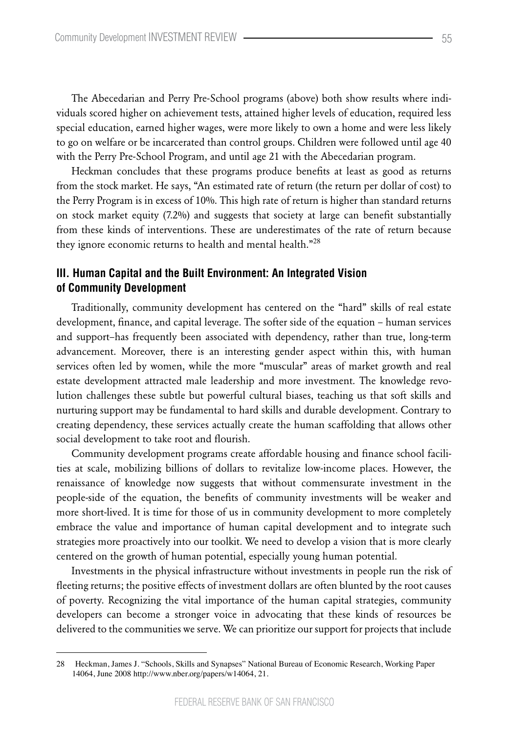The Abecedarian and Perry Pre-School programs (above) both show results where individuals scored higher on achievement tests, attained higher levels of education, required less special education, earned higher wages, were more likely to own a home and were less likely to go on welfare or be incarcerated than control groups. Children were followed until age 40 with the Perry Pre-School Program, and until age 21 with the Abecedarian program.

Heckman concludes that these programs produce benefits at least as good as returns from the stock market. He says, "An estimated rate of return (the return per dollar of cost) to the Perry Program is in excess of 10%. This high rate of return is higher than standard returns on stock market equity (7.2%) and suggests that society at large can benefit substantially from these kinds of interventions. These are underestimates of the rate of return because they ignore economic returns to health and mental health."<sup>28</sup>

## **III. Human Capital and the Built Environment: An Integrated Vision of Community Development**

Traditionally, community development has centered on the "hard" skills of real estate development, finance, and capital leverage. The softer side of the equation – human services and support–has frequently been associated with dependency, rather than true, long-term advancement. Moreover, there is an interesting gender aspect within this, with human services often led by women, while the more "muscular" areas of market growth and real estate development attracted male leadership and more investment. The knowledge revolution challenges these subtle but powerful cultural biases, teaching us that soft skills and nurturing support may be fundamental to hard skills and durable development. Contrary to creating dependency, these services actually create the human scaffolding that allows other social development to take root and flourish.

Community development programs create affordable housing and finance school facilities at scale, mobilizing billions of dollars to revitalize low-income places. However, the renaissance of knowledge now suggests that without commensurate investment in the people-side of the equation, the benefits of community investments will be weaker and more short-lived. It is time for those of us in community development to more completely embrace the value and importance of human capital development and to integrate such strategies more proactively into our toolkit. We need to develop a vision that is more clearly centered on the growth of human potential, especially young human potential.

Investments in the physical infrastructure without investments in people run the risk of fleeting returns; the positive effects of investment dollars are often blunted by the root causes of poverty. Recognizing the vital importance of the human capital strategies, community developers can become a stronger voice in advocating that these kinds of resources be delivered to the communities we serve. We can prioritize our support for projects that include

<sup>28</sup> Heckman, James J. "Schools, Skills and Synapses" National Bureau of Economic Research, Working Paper 14064, June 2008 http://www.nber.org/papers/w14064, 21.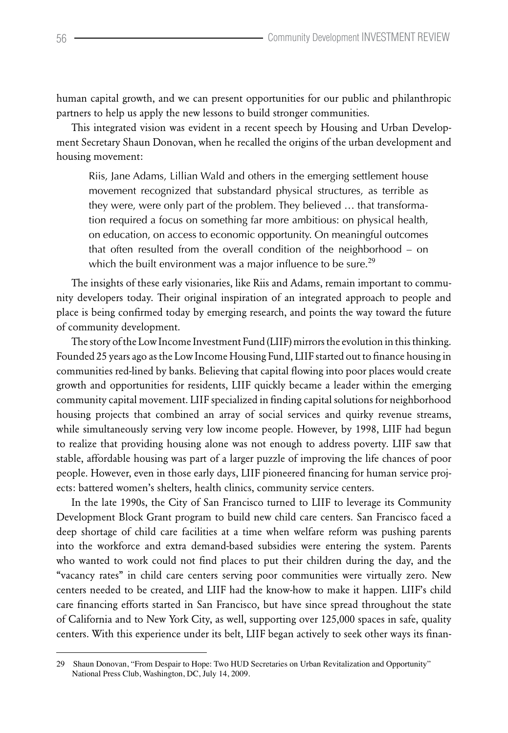human capital growth, and we can present opportunities for our public and philanthropic partners to help us apply the new lessons to build stronger communities.

This integrated vision was evident in a recent speech by Housing and Urban Development Secretary Shaun Donovan, when he recalled the origins of the urban development and housing movement:

Riis, Jane Adams, Lillian Wald and others in the emerging settlement house movement recognized that substandard physical structures, as terrible as they were, were only part of the problem. They believed … that transformation required a focus on something far more ambitious: on physical health, on education, on access to economic opportunity. On meaningful outcomes that often resulted from the overall condition of the neighborhood – on which the built environment was a major influence to be sure.<sup>29</sup>

The insights of these early visionaries, like Riis and Adams, remain important to community developers today. Their original inspiration of an integrated approach to people and place is being confirmed today by emerging research, and points the way toward the future of community development.

The story of the Low Income Investment Fund (LIIF) mirrors the evolution in this thinking. Founded 25 years ago as the Low Income Housing Fund, LIIF started out to finance housing in communities red-lined by banks. Believing that capital flowing into poor places would create growth and opportunities for residents, LIIF quickly became a leader within the emerging community capital movement. LIIF specialized in finding capital solutions for neighborhood housing projects that combined an array of social services and quirky revenue streams, while simultaneously serving very low income people. However, by 1998, LIIF had begun to realize that providing housing alone was not enough to address poverty. LIIF saw that stable, affordable housing was part of a larger puzzle of improving the life chances of poor people. However, even in those early days, LIIF pioneered financing for human service projects: battered women's shelters, health clinics, community service centers.

In the late 1990s, the City of San Francisco turned to LIIF to leverage its Community Development Block Grant program to build new child care centers. San Francisco faced a deep shortage of child care facilities at a time when welfare reform was pushing parents into the workforce and extra demand-based subsidies were entering the system. Parents who wanted to work could not find places to put their children during the day, and the "vacancy rates" in child care centers serving poor communities were virtually zero. New centers needed to be created, and LIIF had the know-how to make it happen. LIIF's child care financing efforts started in San Francisco, but have since spread throughout the state of California and to New York City, as well, supporting over 125,000 spaces in safe, quality centers. With this experience under its belt, LIIF began actively to seek other ways its finan-

<sup>29</sup> Shaun Donovan, "From Despair to Hope: Two HUD Secretaries on Urban Revitalization and Opportunity" National Press Club, Washington, DC, July 14, 2009.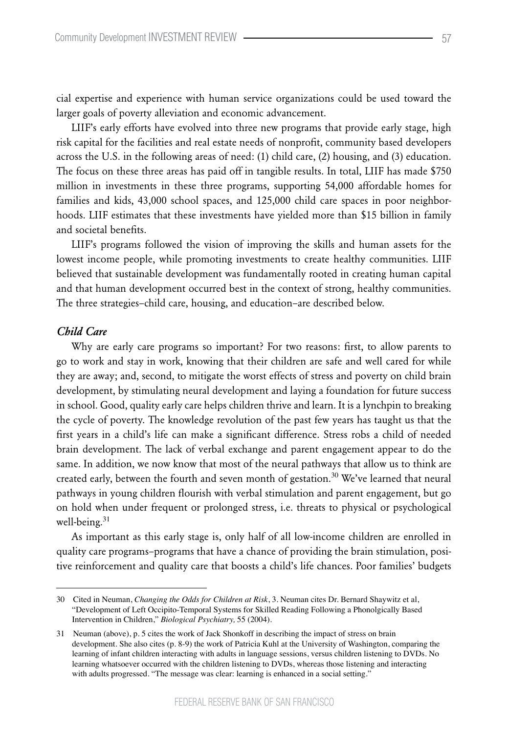cial expertise and experience with human service organizations could be used toward the larger goals of poverty alleviation and economic advancement.

LIIF's early efforts have evolved into three new programs that provide early stage, high risk capital for the facilities and real estate needs of nonprofit, community based developers across the U.S. in the following areas of need: (1) child care, (2) housing, and (3) education. The focus on these three areas has paid off in tangible results. In total, LIIF has made \$750 million in investments in these three programs, supporting 54,000 affordable homes for families and kids, 43,000 school spaces, and 125,000 child care spaces in poor neighborhoods. LIIF estimates that these investments have yielded more than \$15 billion in family and societal benefits.

LIIF's programs followed the vision of improving the skills and human assets for the lowest income people, while promoting investments to create healthy communities. LIIF believed that sustainable development was fundamentally rooted in creating human capital and that human development occurred best in the context of strong, healthy communities. The three strategies–child care, housing, and education–are described below.

#### *Child Care*

Why are early care programs so important? For two reasons: first, to allow parents to go to work and stay in work, knowing that their children are safe and well cared for while they are away; and, second, to mitigate the worst effects of stress and poverty on child brain development, by stimulating neural development and laying a foundation for future success in school. Good, quality early care helps children thrive and learn. It is a lynchpin to breaking the cycle of poverty. The knowledge revolution of the past few years has taught us that the first years in a child's life can make a significant difference. Stress robs a child of needed brain development. The lack of verbal exchange and parent engagement appear to do the same. In addition, we now know that most of the neural pathways that allow us to think are created early, between the fourth and seven month of gestation.<sup>30</sup> We've learned that neural pathways in young children flourish with verbal stimulation and parent engagement, but go on hold when under frequent or prolonged stress, i.e. threats to physical or psychological well-being.<sup>31</sup>

As important as this early stage is, only half of all low-income children are enrolled in quality care programs–programs that have a chance of providing the brain stimulation, positive reinforcement and quality care that boosts a child's life chances. Poor families' budgets

<sup>30</sup> Cited in Neuman, *Changing the Odds for Children at Risk*, 3. Neuman cites Dr. Bernard Shaywitz et al, "Development of Left Occipito-Temporal Systems for Skilled Reading Following a Phonolgically Based Intervention in Children," *Biological Psychiatry,* 55 (2004).

<sup>31</sup> Neuman (above), p. 5 cites the work of Jack Shonkoff in describing the impact of stress on brain development. She also cites (p. 8-9) the work of Patricia Kuhl at the University of Washington, comparing the learning of infant children interacting with adults in language sessions, versus children listening to DVDs. No learning whatsoever occurred with the children listening to DVDs, whereas those listening and interacting with adults progressed. "The message was clear: learning is enhanced in a social setting."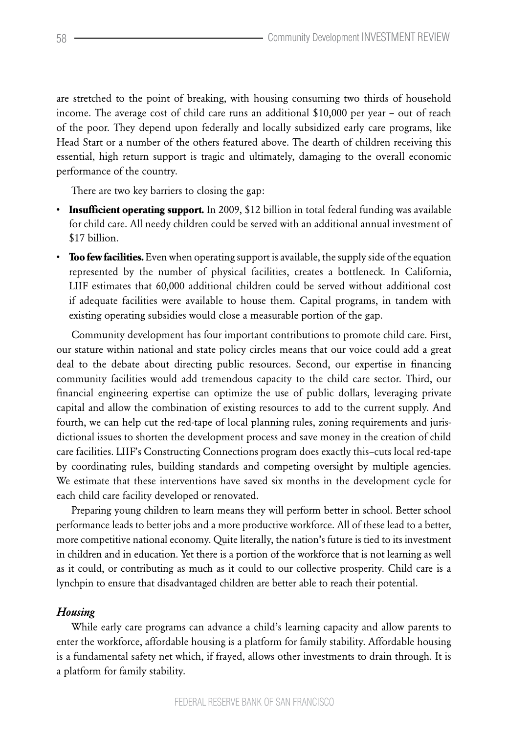are stretched to the point of breaking, with housing consuming two thirds of household income. The average cost of child care runs an additional \$10,000 per year – out of reach of the poor. They depend upon federally and locally subsidized early care programs, like Head Start or a number of the others featured above. The dearth of children receiving this essential, high return support is tragic and ultimately, damaging to the overall economic performance of the country.

There are two key barriers to closing the gap:

- • **Insufficient operating support.** In 2009, \$12 billion in total federal funding was available for child care. All needy children could be served with an additional annual investment of \$17 billion.
- • **Too few facilities.** Even when operating support is available, the supply side of the equation represented by the number of physical facilities, creates a bottleneck. In California, LIIF estimates that 60,000 additional children could be served without additional cost if adequate facilities were available to house them. Capital programs, in tandem with existing operating subsidies would close a measurable portion of the gap.

Community development has four important contributions to promote child care. First, our stature within national and state policy circles means that our voice could add a great deal to the debate about directing public resources. Second, our expertise in financing community facilities would add tremendous capacity to the child care sector. Third, our financial engineering expertise can optimize the use of public dollars, leveraging private capital and allow the combination of existing resources to add to the current supply. And fourth, we can help cut the red-tape of local planning rules, zoning requirements and jurisdictional issues to shorten the development process and save money in the creation of child care facilities. LIIF's Constructing Connections program does exactly this–cuts local red-tape by coordinating rules, building standards and competing oversight by multiple agencies. We estimate that these interventions have saved six months in the development cycle for each child care facility developed or renovated.

Preparing young children to learn means they will perform better in school. Better school performance leads to better jobs and a more productive workforce. All of these lead to a better, more competitive national economy. Quite literally, the nation's future is tied to its investment in children and in education. Yet there is a portion of the workforce that is not learning as well as it could, or contributing as much as it could to our collective prosperity. Child care is a lynchpin to ensure that disadvantaged children are better able to reach their potential.

## *Housing*

While early care programs can advance a child's learning capacity and allow parents to enter the workforce, affordable housing is a platform for family stability. Affordable housing is a fundamental safety net which, if frayed, allows other investments to drain through. It is a platform for family stability.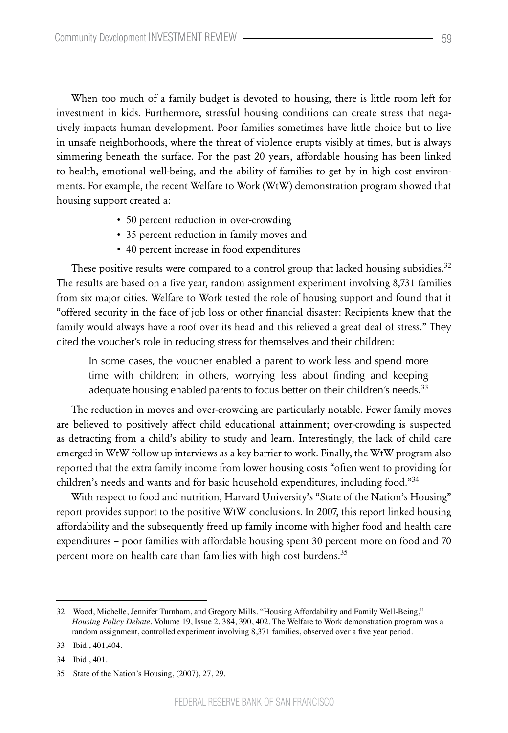When too much of a family budget is devoted to housing, there is little room left for investment in kids. Furthermore, stressful housing conditions can create stress that negatively impacts human development. Poor families sometimes have little choice but to live in unsafe neighborhoods, where the threat of violence erupts visibly at times, but is always simmering beneath the surface. For the past 20 years, affordable housing has been linked to health, emotional well-being, and the ability of families to get by in high cost environments. For example, the recent Welfare to Work (WtW) demonstration program showed that housing support created a:

- 50 percent reduction in over-crowding
- 35 percent reduction in family moves and
- 40 percent increase in food expenditures

These positive results were compared to a control group that lacked housing subsidies.<sup>32</sup> The results are based on a five year, random assignment experiment involving 8,731 families from six major cities. Welfare to Work tested the role of housing support and found that it "offered security in the face of job loss or other financial disaster: Recipients knew that the family would always have a roof over its head and this relieved a great deal of stress." They cited the voucher's role in reducing stress for themselves and their children:

In some cases, the voucher enabled a parent to work less and spend more time with children; in others, worrying less about finding and keeping adequate housing enabled parents to focus better on their children's needs.<sup>33</sup>

The reduction in moves and over-crowding are particularly notable. Fewer family moves are believed to positively affect child educational attainment; over-crowding is suspected as detracting from a child's ability to study and learn. Interestingly, the lack of child care emerged in WtW follow up interviews as a key barrier to work. Finally, the WtW program also reported that the extra family income from lower housing costs "often went to providing for children's needs and wants and for basic household expenditures, including food."<sup>34</sup>

With respect to food and nutrition, Harvard University's "State of the Nation's Housing" report provides support to the positive WtW conclusions. In 2007, this report linked housing affordability and the subsequently freed up family income with higher food and health care expenditures – poor families with affordable housing spent 30 percent more on food and 70 percent more on health care than families with high cost burdens.<sup>35</sup>

<sup>32</sup> Wood, Michelle, Jennifer Turnham, and Gregory Mills. "Housing Affordability and Family Well-Being," *Housing Policy Debate*, Volume 19, Issue 2, 384, 390, 402. The Welfare to Work demonstration program was a random assignment, controlled experiment involving 8,371 families, observed over a five year period.

<sup>33</sup> Ibid., 401,404.

<sup>34</sup> Ibid., 401.

<sup>35</sup> State of the Nation's Housing, (2007), 27, 29.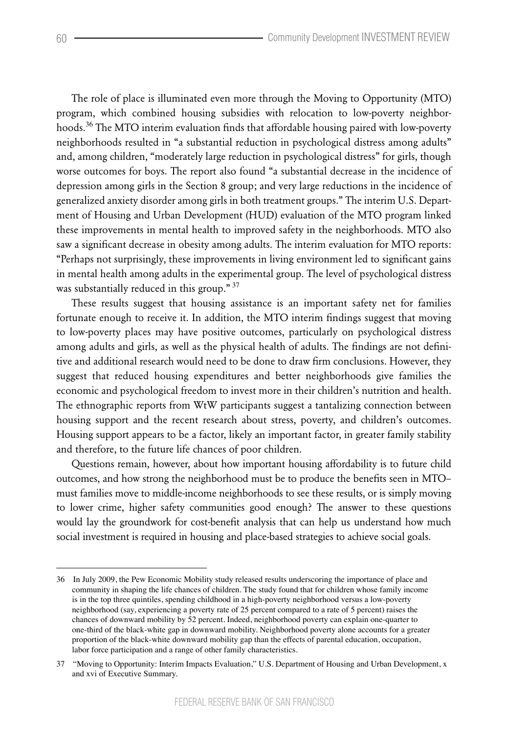The role of place is illuminated even more through the Moving to Opportunity (MTO) program, which combined housing subsidies with relocation to low-poverty neighborhoods.<sup>36</sup> The MTO interim evaluation finds that affordable housing paired with low-poverty neighborhoods resulted in "a substantial reduction in psychological distress among adults" and, among children, "moderately large reduction in psychological distress" for girls, though worse outcomes for boys. The report also found "a substantial decrease in the incidence of depression among girls in the Section 8 group; and very large reductions in the incidence of generalized anxiety disorder among girls in both treatment groups." The interim U.S. Department of Housing and Urban Development (HUD) evaluation of the MTO program linked these improvements in mental health to improved safety in the neighborhoods. MTO also saw a significant decrease in obesity among adults. The interim evaluation for MTO reports: "Perhaps not surprisingly, these improvements in living environment led to significant gains in mental health among adults in the experimental group. The level of psychological distress was substantially reduced in this group." 37

These results suggest that housing assistance is an important safety net for families fortunate enough to receive it. In addition, the MTO interim findings suggest that moving to low-poverty places may have positive outcomes, particularly on psychological distress among adults and girls, as well as the physical health of adults. The findings are not definitive and additional research would need to be done to draw firm conclusions. However, they suggest that reduced housing expenditures and better neighborhoods give families the economic and psychological freedom to invest more in their children's nutrition and health. The ethnographic reports from WtW participants suggest a tantalizing connection between housing support and the recent research about stress, poverty, and children's outcomes. Housing support appears to be a factor, likely an important factor, in greater family stability and therefore, to the future life chances of poor children.

Questions remain, however, about how important housing affordability is to future child outcomes, and how strong the neighborhood must be to produce the benefits seen in MTO– must families move to middle-income neighborhoods to see these results, or is simply moving to lower crime, higher safety communities good enough? The answer to these questions would lay the groundwork for cost-benefit analysis that can help us understand how much social investment is required in housing and place-based strategies to achieve social goals.

<sup>36</sup> In July 2009, the Pew Economic Mobility study released results underscoring the importance of place and community in shaping the life chances of children. The study found that for children whose family income is in the top three quintiles, spending childhood in a high-poverty neighborhood versus a low-poverty neighborhood (say, experiencing a poverty rate of 25 percent compared to a rate of 5 percent) raises the chances of downward mobility by 52 percent. Indeed, neighborhood poverty can explain one-quarter to one-third of the black-white gap in downward mobility. Neighborhood poverty alone accounts for a greater proportion of the black-white downward mobility gap than the effects of parental education, occupation, labor force participation and a range of other family characteristics.

<sup>37</sup> "Moving to Opportunity: Interim Impacts Evaluation," U.S. Department of Housing and Urban Development, x and xvi of Executive Summary.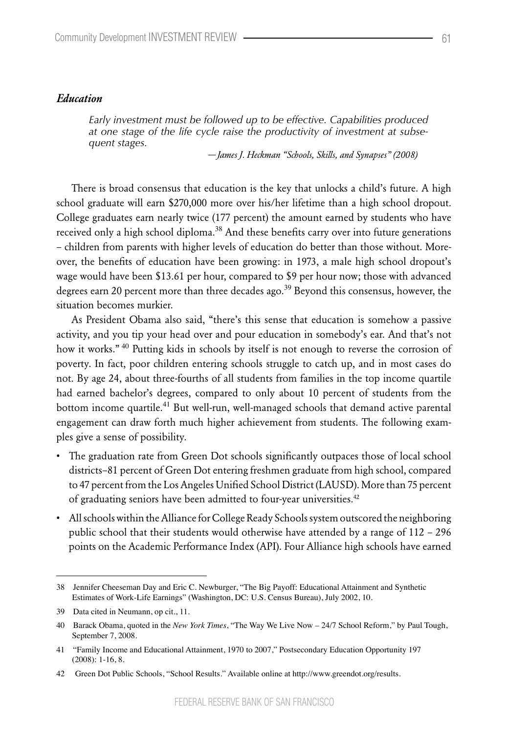#### *Education*

*Early investment must be followed up to be effective. Capabilities produced at one stage of the life cycle raise the productivity of investment at subsequent stages.*

 *—James J. Heckman "Schools, Skills, and Synapses" (2008)*

There is broad consensus that education is the key that unlocks a child's future. A high school graduate will earn \$270,000 more over his/her lifetime than a high school dropout. College graduates earn nearly twice (177 percent) the amount earned by students who have received only a high school diploma. $38$  And these benefits carry over into future generations – children from parents with higher levels of education do better than those without. Moreover, the benefits of education have been growing: in 1973, a male high school dropout's wage would have been \$13.61 per hour, compared to \$9 per hour now; those with advanced degrees earn 20 percent more than three decades ago.<sup>39</sup> Beyond this consensus, however, the situation becomes murkier.

As President Obama also said, "there's this sense that education is somehow a passive activity, and you tip your head over and pour education in somebody's ear. And that's not how it works."<sup>40</sup> Putting kids in schools by itself is not enough to reverse the corrosion of poverty. In fact, poor children entering schools struggle to catch up, and in most cases do not. By age 24, about three-fourths of all students from families in the top income quartile had earned bachelor's degrees, compared to only about 10 percent of students from the bottom income quartile.<sup>41</sup> But well-run, well-managed schools that demand active parental engagement can draw forth much higher achievement from students. The following examples give a sense of possibility.

- The graduation rate from Green Dot schools significantly outpaces those of local school districts–81 percent of Green Dot entering freshmen graduate from high school, compared to 47 percent from the Los Angeles Unified School District (LAUSD). More than 75 percent of graduating seniors have been admitted to four-year universities.<sup>42</sup>
- All schools within the Alliance for College Ready Schools system outscored the neighboring public school that their students would otherwise have attended by a range of 112 – 296 points on the Academic Performance Index (API). Four Alliance high schools have earned

<sup>38</sup> Jennifer Cheeseman Day and Eric C. Newburger, "The Big Payoff: Educational Attainment and Synthetic Estimates of Work-Life Earnings" (Washington, DC: U.S. Census Bureau), July 2002, 10.

<sup>39</sup> Data cited in Neumann, op cit., 11.

<sup>40</sup> Barack Obama, quoted in the *New York Times*, "The Way We Live Now – 24/7 School Reform," by Paul Tough, September 7, 2008.

<sup>41</sup> "Family Income and Educational Attainment, 1970 to 2007," Postsecondary Education Opportunity 197 (2008): 1-16, 8.

<sup>42</sup> Green Dot Public Schools, "School Results." Available online at http://www.greendot.org/results.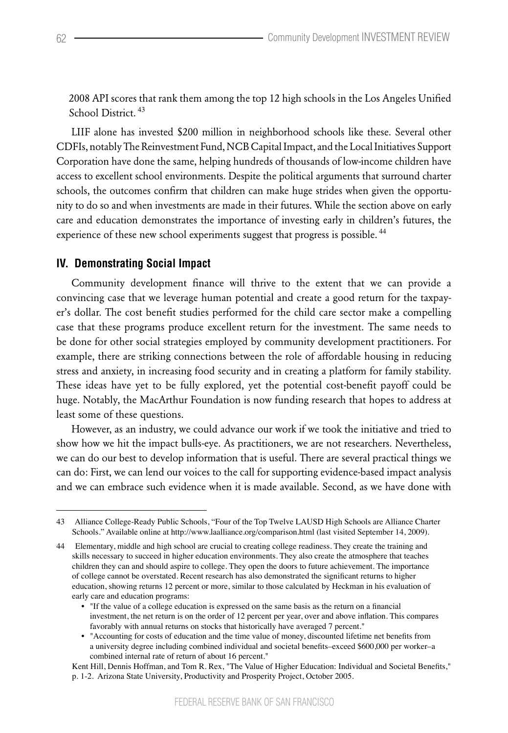2008 API scores that rank them among the top 12 high schools in the Los Angeles Unified School District.<sup>43</sup>

LIIF alone has invested \$200 million in neighborhood schools like these. Several other CDFIs, notably The Reinvestment Fund, NCB Capital Impact, and the Local Initiatives Support Corporation have done the same, helping hundreds of thousands of low-income children have access to excellent school environments. Despite the political arguments that surround charter schools, the outcomes confirm that children can make huge strides when given the opportunity to do so and when investments are made in their futures. While the section above on early care and education demonstrates the importance of investing early in children's futures, the experience of these new school experiments suggest that progress is possible.<sup>44</sup>

## **IV. Demonstrating Social Impact**

Community development finance will thrive to the extent that we can provide a convincing case that we leverage human potential and create a good return for the taxpayer's dollar. The cost benefit studies performed for the child care sector make a compelling case that these programs produce excellent return for the investment. The same needs to be done for other social strategies employed by community development practitioners. For example, there are striking connections between the role of affordable housing in reducing stress and anxiety, in increasing food security and in creating a platform for family stability. These ideas have yet to be fully explored, yet the potential cost-benefit payoff could be huge. Notably, the MacArthur Foundation is now funding research that hopes to address at least some of these questions.

However, as an industry, we could advance our work if we took the initiative and tried to show how we hit the impact bulls-eye. As practitioners, we are not researchers. Nevertheless, we can do our best to develop information that is useful. There are several practical things we can do: First, we can lend our voices to the call for supporting evidence-based impact analysis and we can embrace such evidence when it is made available. Second, as we have done with

<sup>43</sup> Alliance College-Ready Public Schools, "Four of the Top Twelve LAUSD High Schools are Alliance Charter Schools." Available online at http://www.laalliance.org/comparison.html (last visited September 14, 2009).

<sup>44</sup> Elementary, middle and high school are crucial to creating college readiness. They create the training and skills necessary to succeed in higher education environments. They also create the atmosphere that teaches children they can and should aspire to college. They open the doors to future achievement. The importance of college cannot be overstated. Recent research has also demonstrated the significant returns to higher education, showing returns 12 percent or more, similar to those calculated by Heckman in his evaluation of early care and education programs:

<sup>•</sup> "If the value of a college education is expressed on the same basis as the return on a financial investment, the net return is on the order of 12 percent per year, over and above inflation. This compares favorably with annual returns on stocks that historically have averaged 7 percent."

<sup>•</sup> "Accounting for costs of education and the time value of money, discounted lifetime net benefits from a university degree including combined individual and societal benefits–exceed \$600,000 per worker–a combined internal rate of return of about 16 percent."

Kent Hill, Dennis Hoffman, and Tom R. Rex, "The Value of Higher Education: Individual and Societal Benefits," p. 1-2. Arizona State University, Productivity and Prosperity Project, October 2005.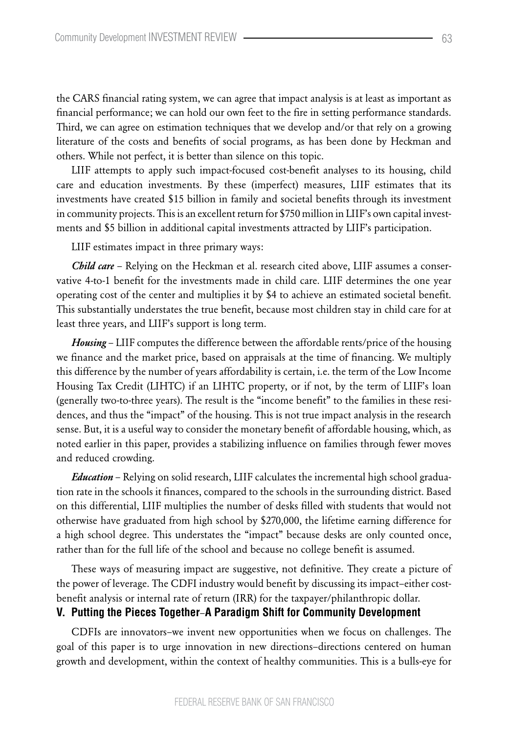the CARS financial rating system, we can agree that impact analysis is at least as important as financial performance; we can hold our own feet to the fire in setting performance standards. Third, we can agree on estimation techniques that we develop and/or that rely on a growing literature of the costs and benefits of social programs, as has been done by Heckman and others. While not perfect, it is better than silence on this topic.

LIIF attempts to apply such impact-focused cost-benefit analyses to its housing, child care and education investments. By these (imperfect) measures, LIIF estimates that its investments have created \$15 billion in family and societal benefits through its investment in community projects. This is an excellent return for \$750 million in LIIF's own capital investments and \$5 billion in additional capital investments attracted by LIIF's participation.

LIIF estimates impact in three primary ways:

*Child care* – Relying on the Heckman et al. research cited above, LIIF assumes a conservative 4-to-1 benefit for the investments made in child care. LIIF determines the one year operating cost of the center and multiplies it by \$4 to achieve an estimated societal benefit. This substantially understates the true benefit, because most children stay in child care for at least three years, and LIIF's support is long term.

*Housing* – LIIF computes the difference between the affordable rents/price of the housing we finance and the market price, based on appraisals at the time of financing. We multiply this difference by the number of years affordability is certain, i.e. the term of the Low Income Housing Tax Credit (LIHTC) if an LIHTC property, or if not, by the term of LIIF's loan (generally two-to-three years). The result is the "income benefit" to the families in these residences, and thus the "impact" of the housing. This is not true impact analysis in the research sense. But, it is a useful way to consider the monetary benefit of affordable housing, which, as noted earlier in this paper, provides a stabilizing influence on families through fewer moves and reduced crowding.

*Education* – Relying on solid research, LIIF calculates the incremental high school graduation rate in the schools it finances, compared to the schools in the surrounding district. Based on this differential, LIIF multiplies the number of desks filled with students that would not otherwise have graduated from high school by \$270,000, the lifetime earning difference for a high school degree. This understates the "impact" because desks are only counted once, rather than for the full life of the school and because no college benefit is assumed.

These ways of measuring impact are suggestive, not definitive. They create a picture of the power of leverage. The CDFI industry would benefit by discussing its impact–either costbenefit analysis or internal rate of return (IRR) for the taxpayer/philanthropic dollar.

## **V. Putting the Pieces Together**–**A Paradigm Shift for Community Development**

CDFIs are innovators–we invent new opportunities when we focus on challenges. The goal of this paper is to urge innovation in new directions–directions centered on human growth and development, within the context of healthy communities. This is a bulls-eye for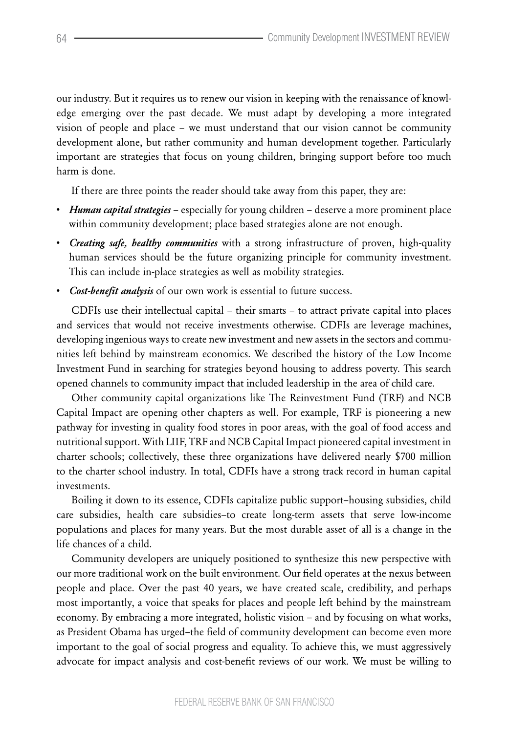our industry. But it requires us to renew our vision in keeping with the renaissance of knowledge emerging over the past decade. We must adapt by developing a more integrated vision of people and place – we must understand that our vision cannot be community development alone, but rather community and human development together. Particularly important are strategies that focus on young children, bringing support before too much harm is done.

If there are three points the reader should take away from this paper, they are:

- • *Human capital strategies* especially for young children deserve a more prominent place within community development; place based strategies alone are not enough.
- • *Creating safe, healthy communities* with a strong infrastructure of proven, high-quality human services should be the future organizing principle for community investment. This can include in-place strategies as well as mobility strategies.
- • *Cost-benefit analysis* of our own work is essential to future success.

CDFIs use their intellectual capital – their smarts – to attract private capital into places and services that would not receive investments otherwise. CDFIs are leverage machines, developing ingenious ways to create new investment and new assets in the sectors and communities left behind by mainstream economics. We described the history of the Low Income Investment Fund in searching for strategies beyond housing to address poverty. This search opened channels to community impact that included leadership in the area of child care.

Other community capital organizations like The Reinvestment Fund (TRF) and NCB Capital Impact are opening other chapters as well. For example, TRF is pioneering a new pathway for investing in quality food stores in poor areas, with the goal of food access and nutritional support. With LIIF, TRF and NCB Capital Impact pioneered capital investment in charter schools; collectively, these three organizations have delivered nearly \$700 million to the charter school industry. In total, CDFIs have a strong track record in human capital investments.

Boiling it down to its essence, CDFIs capitalize public support–housing subsidies, child care subsidies, health care subsidies–to create long-term assets that serve low-income populations and places for many years. But the most durable asset of all is a change in the life chances of a child.

Community developers are uniquely positioned to synthesize this new perspective with our more traditional work on the built environment. Our field operates at the nexus between people and place. Over the past 40 years, we have created scale, credibility, and perhaps most importantly, a voice that speaks for places and people left behind by the mainstream economy. By embracing a more integrated, holistic vision – and by focusing on what works, as President Obama has urged–the field of community development can become even more important to the goal of social progress and equality. To achieve this, we must aggressively advocate for impact analysis and cost-benefit reviews of our work. We must be willing to